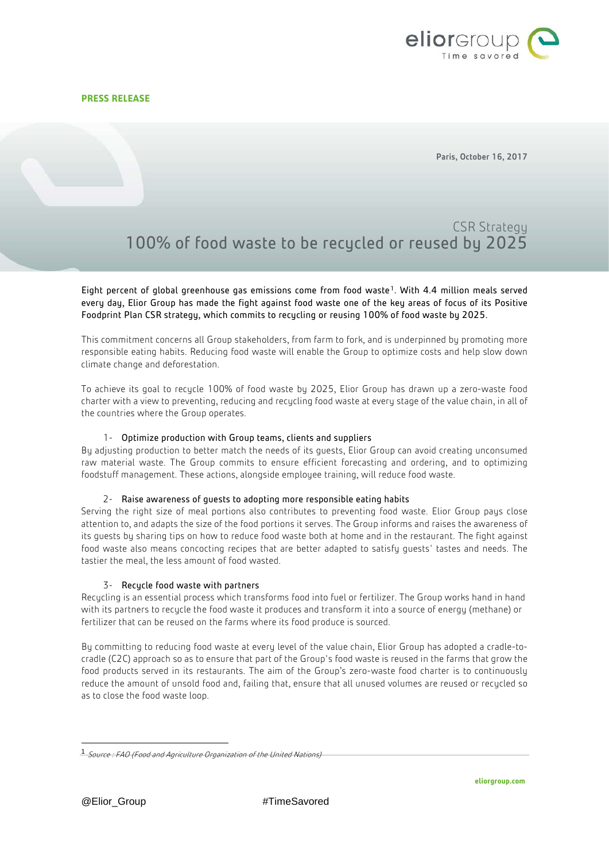

Paris, October 16, 2017

# CSR Strategy 100% of food waste to be recycled or reused by 2025

Eight percent of global greenhouse gas emissions come from food waste<sup>[1](#page-0-0)</sup>. With 4.4 million meals served every day, Elior Group has made the fight against food waste one of the key areas of focus of its Positive Foodprint Plan CSR strategy, which commits to recycling or reusing 100% of food waste by 2025.

This commitment concerns all Group stakeholders, from farm to fork, and is underpinned by promoting more responsible eating habits. Reducing food waste will enable the Group to optimize costs and help slow down climate change and deforestation.

To achieve its goal to recycle 100% of food waste by 2025, Elior Group has drawn up a zero-waste food charter with a view to preventing, reducing and recycling food waste at every stage of the value chain, in all of the countries where the Group operates.

## 1- Optimize production with Group teams, clients and suppliers

By adjusting production to better match the needs of its guests, Elior Group can avoid creating unconsumed raw material waste. The Group commits to ensure efficient forecasting and ordering, and to optimizing foodstuff management. These actions, alongside employee training, will reduce food waste.

### 2- Raise awareness of guests to adopting more responsible eating habits

Serving the right size of meal portions also contributes to preventing food waste. Elior Group pays close attention to, and adapts the size of the food portions it serves. The Group informs and raises the awareness of its guests by sharing tips on how to reduce food waste both at home and in the restaurant. The fight against food waste also means concocting recipes that are better adapted to satisfy guests' tastes and needs. The tastier the meal, the less amount of food wasted.

## 3- Recycle food waste with partners

Recycling is an essential process which transforms food into fuel or fertilizer. The Group works hand in hand with its partners to recycle the food waste it produces and transform it into a source of energy (methane) or fertilizer that can be reused on the farms where its food produce is sourced.

By committing to reducing food waste at every level of the value chain, Elior Group has adopted a cradle-tocradle (C2C) approach so as to ensure that part of the Group's food waste is reused in the farms that grow the food products served in its restaurants. The aim of the Group's zero-waste food charter is to continuously reduce the amount of unsold food and, failing that, ensure that all unused volumes are reused or recycled so as to close the food waste loop.

<span id="page-0-0"></span> <sup>1</sup> Source : FAO (Food and Agriculture Organization of the United Nations)